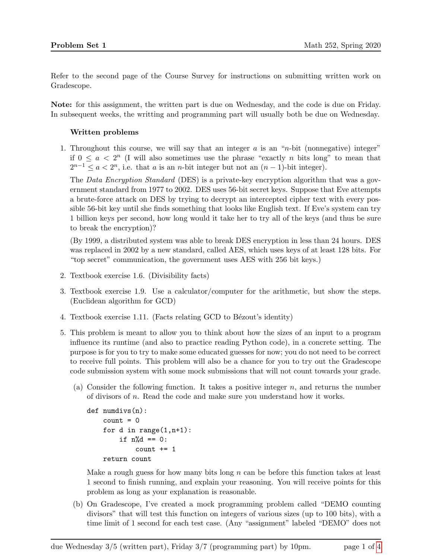Refer to the second page of the Course Survey for instructions on submitting written work on Gradescope.

Note: for this assignment, the written part is due on Wednesday, and the code is due on Friday. In subsequent weeks, the writting and programming part will usually both be due on Wednesday.

## Written problems

1. Throughout this course, we will say that an integer  $a$  is an "n-bit (nonnegative) integer" if  $0 \le a < 2^n$  (I will also sometimes use the phrase "exactly *n* bits long" to mean that  $2^{n-1} \leq a < 2^n$ , i.e. that a is an n-bit integer but not an  $(n-1)$ -bit integer).

The Data Encryption Standard (DES) is a private-key encryption algorithm that was a government standard from 1977 to 2002. DES uses 56-bit secret keys. Suppose that Eve attempts a brute-force attack on DES by trying to decrypt an intercepted cipher text with every possible 56-bit key until she finds something that looks like English text. If Eve's system can try 1 billion keys per second, how long would it take her to try all of the keys (and thus be sure to break the encryption)?

(By 1999, a distributed system was able to break DES encryption in less than 24 hours. DES was replaced in 2002 by a new standard, called AES, which uses keys of at least 128 bits. For "top secret" communication, the government uses AES with 256 bit keys.)

- 2. Textbook exercise 1.6. (Divisibility facts)
- 3. Textbook exercise 1.9. Use a calculator/computer for the arithmetic, but show the steps. (Euclidean algorithm for GCD)
- 4. Textbook exercise 1.11. (Facts relating GCD to Bézout's identity)
- 5. This problem is meant to allow you to think about how the sizes of an input to a program influence its runtime (and also to practice reading Python code), in a concrete setting. The purpose is for you to try to make some educated guesses for now; you do not need to be correct to receive full points. This problem will also be a chance for you to try out the Gradescope code submission system with some mock submissions that will not count towards your grade.
	- (a) Consider the following function. It takes a positive integer  $n$ , and returns the number of divisors of n. Read the code and make sure you understand how it works.

```
def numdivs(n):
count = 0for d in range(1,n+1):
    if n\%d == 0:
         count += 1
return count
```
Make a rough guess for how many bits long  $n$  can be before this function takes at least 1 second to finish running, and explain your reasoning. You will receive points for this problem as long as your explanation is reasonable.

(b) On Gradescope, I've created a mock programming problem called "DEMO counting divisors" that will test this function on integers of various sizes (up to 100 bits), with a time limit of 1 second for each test case. (Any "assignment" labeled "DEMO" does not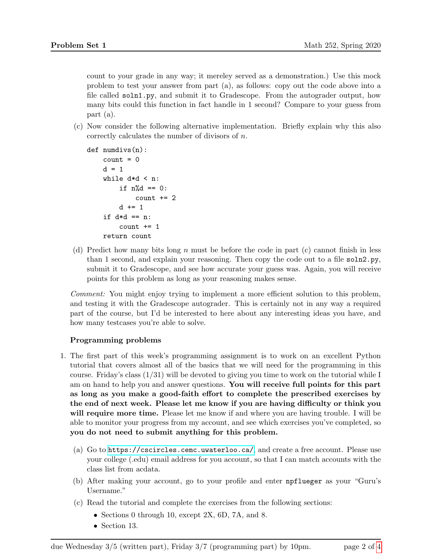count to your grade in any way; it mereley served as a demonstration.) Use this mock problem to test your answer from part (a), as follows: copy out the code above into a file called soln1.py, and submit it to Gradescope. From the autograder output, how many bits could this function in fact handle in 1 second? Compare to your guess from part (a).

(c) Now consider the following alternative implementation. Briefly explain why this also correctly calculates the number of divisors of n.

```
def numdivs(n):
count = 0d = 1while d*d < n:
    if n\%d == 0:
        count += 2d += 1
if d*d == n:
    count += 1
return count
```
(d) Predict how many bits long n must be before the code in part (c) cannot finish in less than 1 second, and explain your reasoning. Then copy the code out to a file soln2.py, submit it to Gradescope, and see how accurate your guess was. Again, you will receive points for this problem as long as your reasoning makes sense.

Comment: You might enjoy trying to implement a more efficient solution to this problem, and testing it with the Gradescope autograder. This is certainly not in any way a required part of the course, but I'd be interested to here about any interesting ideas you have, and how many testcases you're able to solve.

# Programming problems

- 1. The first part of this week's programming assignment is to work on an excellent Python tutorial that covers almost all of the basics that we will need for the programming in this course. Friday's class (1/31) will be devoted to giving you time to work on the tutorial while I am on hand to help you and answer questions. You will receive full points for this part as long as you make a good-faith effort to complete the prescribed exercises by the end of next week. Please let me know if you are having difficulty or think you will require more time. Please let me know if and where you are having trouble. I will be able to monitor your progress from my account, and see which exercises you've completed, so you do not need to submit anything for this problem.
	- (a) Go to <https://cscircles.cemc.uwaterloo.ca/>, and create a free account. Please use your college (.edu) email address for you account, so that I can match accounts with the class list from acdata.
	- (b) After making your account, go to your profile and enter npflueger as your "Guru's Username."
	- (c) Read the tutorial and complete the exercises from the following sections:
		- Sections 0 through 10, except 2X, 6D, 7A, and 8.
		- Section 13.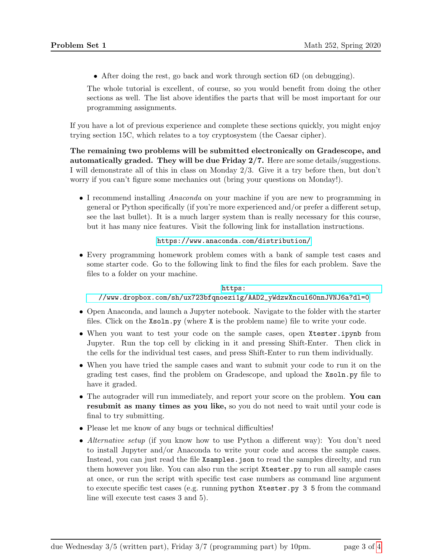• After doing the rest, go back and work through section 6D (on debugging).

The whole tutorial is excellent, of course, so you would benefit from doing the other sections as well. The list above identifies the parts that will be most important for our programming assignments.

If you have a lot of previous experience and complete these sections quickly, you might enjoy trying section 15C, which relates to a toy cryptosystem (the Caesar cipher).

The remaining two problems will be submitted electronically on Gradescope, and automatically graded. They will be due Friday  $2/7$ . Here are some details/suggestions. I will demonstrate all of this in class on Monday 2/3. Give it a try before then, but don't worry if you can't figure some mechanics out (bring your questions on Monday!).

• I recommend installing *Anaconda* on your machine if you are new to programming in general or Python specifically (if you're more experienced and/or prefer a different setup, see the last bullet). It is a much larger system than is really necessary for this course, but it has many nice features. Visit the following link for installation instructions.

## <https://www.anaconda.com/distribution/>

• Every programming homework problem comes with a bank of sample test cases and some starter code. Go to the following link to find the files for each problem. Save the files to a folder on your machine.

### [https:](https://www.dropbox.com/sh/ux723bfqnoezi1g/AAD2_yWdzwXncul60nnJVNJ6a?dl=0)

### [//www.dropbox.com/sh/ux723bfqnoezi1g/AAD2\\_yWdzwXncul60nnJVNJ6a?dl=0](https://www.dropbox.com/sh/ux723bfqnoezi1g/AAD2_yWdzwXncul60nnJVNJ6a?dl=0)

- Open Anaconda, and launch a Jupyter notebook. Navigate to the folder with the starter files. Click on the Xsoln.py (where X is the problem name) file to write your code.
- When you want to test your code on the sample cases, open Xtester.ipynb from Jupyter. Run the top cell by clicking in it and pressing Shift-Enter. Then click in the cells for the individual test cases, and press Shift-Enter to run them individually.
- When you have tried the sample cases and want to submit your code to run it on the grading test cases, find the problem on Gradescope, and upload the Xsoln.py file to have it graded.
- The autograder will run immediately, and report your score on the problem. You can resubmit as many times as you like, so you do not need to wait until your code is final to try submitting.
- Please let me know of any bugs or technical difficulties!
- Alternative setup (if you know how to use Python a different way): You don't need to install Jupyter and/or Anaconda to write your code and access the sample cases. Instead, you can just read the file Xsamples.json to read the samples direclty, and run them however you like. You can also run the script Xtester.py to run all sample cases at once, or run the script with specific test case numbers as command line argument to execute specific test cases (e.g. running python Xtester.py 3 5 from the command line will execute test cases 3 and 5).